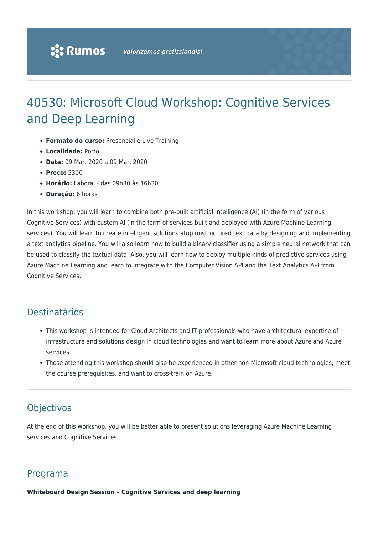# 40530: Microsoft Cloud Workshop: Cognitive Services and Deep Learning

- **Formato do curso:** Presencial e Live Training
- **Localidade:** Porto
- **Data:** 09 Mar. 2020 a 09 Mar. 2020
- **Preço:** 530€
- **Horário:** Laboral das 09h30 às 16h30
- **Duração:** 6 horas

In this workshop, you will learn to combine both pre-built artificial intelligence (AI) (in the form of various Cognitive Services) with custom AI (in the form of services built and deployed with Azure Machine Learning services). You will learn to create intelligent solutions atop unstructured text data by designing and implementing a text analytics pipeline. You will also learn how to build a binary classifier using a simple neural network that can be used to classify the textual data. Also, you will learn how to deploy multiple kinds of predictive services using Azure Machine Learning and learn to integrate with the Computer Vision API and the Text Analytics API from Cognitive Services.

## Destinatários

- This workshop is intended for Cloud Architects and IT professionals who have architectural expertise of infrastructure and solutions design in cloud technologies and want to learn more about Azure and Azure services.
- Those attending this workshop should also be experienced in other non-Microsoft cloud technologies, meet the course prerequisites, and want to cross-train on Azure.

## **Objectivos**

At the end of this workshop, you will be better able to present solutions leveraging Azure Machine Learning services and Cognitive Services.

#### Programa

**Whiteboard Design Session – Cognitive Services and deep learning**